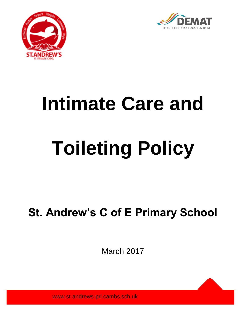



# **Intimate Care and Toileting Policy**

# **St. Andrew's C of E Primary School**

March 2017

www.st-andrews-pri.cambs.sch.uk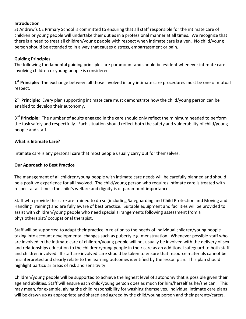#### **Introduction**

St Andrew's CE Primary School is committed to ensuring that all staff responsible for the intimate care of children or young people will undertake their duties in a professional manner at all times. We recognize that there is a need to treat all children/young people with respect when intimate care is given. No child/young person should be attended to in a way that causes distress, embarrassment or pain.

#### **Guiding Principles**

The following fundamental guiding principles are paramount and should be evident whenever intimate care involving children or young people is considered

**1 st Principle:** The exchange between all those involved in any intimate care procedures must be one of mutual respect.

**2 nd Principle:** Every plan supporting intimate care must demonstrate how the child/young person can be enabled to develop their autonomy.

**3 rd Principle:** The number of adults engaged in the care should only reflect the minimum needed to perform the task safely and respectfully. Each situation should reflect both the safety and vulnerability of child/young people and staff.

#### **What is Intimate Care?**

Intimate care is any personal care that most people usually carry out for themselves.

#### **Our Approach to Best Practice**

The management of all children/young people with intimate care needs will be carefully planned and should be a positive experience for all involved. The child/young person who requires intimate care is treated with respect at all times; the child's welfare and dignity is of paramount importance.

Staff who provide this care are trained to do so (including Safeguarding and Child Protection and Moving and Handling Training) and are fully aware of best practice. Suitable equipment and facilities will be provided to assist with children/young people who need special arrangements following assessment from a physiotherapist/ occupational therapist.

Staff will be supported to adapt their practice in relation to the needs of individual children/young people taking into account developmental changes such as puberty e.g. menstruation. Whenever possible staff who are involved in the intimate care of children/young people will not usually be involved with the delivery of sex and relationships education to the children/young people in their care as an additional safeguard to both staff and children involved. If staff are involved care should be taken to ensure that resource materials cannot be misinterpreted and clearly relate to the learning outcomes identified by the lesson plan. This plan should highlight particular areas of risk and sensitivity.

Children/young people will be supported to achieve the highest level of autonomy that is possible given their age and abilities. Staff will ensure each child/young person does as much for him/herself as he/she can. This may mean, for example, giving the child responsibility for washing themselves. Individual intimate care plans will be drawn up as appropriate and shared and agreed by the child/young person and their parents/carers.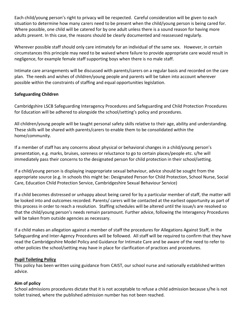Each child/young person's right to privacy will be respected. Careful consideration will be given to each situation to determine how many carers need to be present when the child/young person is being cared for. Where possible, one child will be catered for by one adult unless there is a sound reason for having more adults present. In this case, the reasons should be clearly documented and reassessed regularly.

Wherever possible staff should only care intimately for an individual of the same sex. However, in certain circumstances this principle may need to be waived where failure to provide appropriate care would result in negligence, for example female staff supporting boys when there is no male staff.

Intimate care arrangements will be discussed with parents/carers on a regular basis and recorded on the care plan. The needs and wishes of children/young people and parents will be taken into account wherever possible within the constraints of staffing and equal opportunities legislation.

#### **Safeguarding Children**

Cambridgshire LSCB Safeguarding Interagency Procedures and Safeguarding and Child Protection Procedures for Education will be adhered to alongside the school/setting's policy and procedures.

All children/young people will be taught personal safety skills relative to their age, ability and understanding. These skills will be shared with parents/carers to enable them to be consolidated within the home/community.

If a member of staff has any concerns about physical or behavioral changes in a child/young person's presentation, e.g. marks, bruises, soreness or reluctance to go to certain places/people etc. s/he will immediately pass their concerns to the designated person for child protection in their school/setting.

If a child/young person is displaying inappropriate sexual behaviour, advice should be sought from the appropriate source (e.g. In schools this might be: Designated Person for Child Protection, School Nurse, Social Care, Education Child Protection Service, Cambridgeshire Sexual Behaviour Service)

If a child becomes distressed or unhappy about being cared for by a particular member of staff, the matter will be looked into and outcomes recorded. Parents/ carers will be contacted at the earliest opportunity as part of this process in order to reach a resolution. Staffing schedules will be altered until the issue/s are resolved so that the child/young person's needs remain paramount. Further advice, following the Interagency Procedures will be taken from outside agencies as necessary.

If a child makes an allegation against a member of staff the procedures for Allegations Against Staff, in the Safeguarding and Inter-Agency Procedures will be followed. All staff will be required to confirm that they have read the Cambridgeshire Model Policy and Guidance for Intimate Care and be aware of the need to refer to other policies the school/setting may have in place for clarification of practices and procedures.

#### **Pupil Toileting Policy**

This policy has been written using guidance from CAIST, our school nurse and nationally established written advice.

#### **Aim of policy**

School admissions procedures dictate that it is not acceptable to refuse a child admission because s/he is not toilet trained, where the published admission number has not been reached.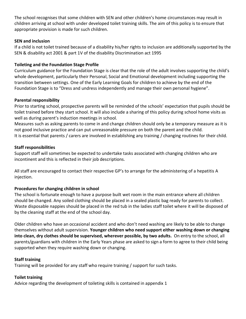The school recognises that some children with SEN and other children's home circumstances may result in children arriving at school with under developed toilet training skills. The aim of this policy is to ensure that appropriate provision is made for such children.

#### **SEN and inclusion**

If a child is not toilet trained because of a disability his/her rights to inclusion are additionally supported by the SEN & disability act 2001 & part 1V of the disability Discrimination act 1995

#### **Toileting and the Foundation Stage Profile**

Curriculum guidance for the Foundation Stage is clear that the role of the adult involves supporting the child's whole development, particularly their Personal, Social and Emotional development including supporting the transition between settings. One of the Early Learning Goals for children to achieve by the end of the Foundation Stage is to "Dress and undress independently and manage their own personal hygiene".

#### **Parental responsibility**

Prior to starting school, prospective parents will be reminded of the schools' expectation that pupils should be toilet trained before they start school. It will also include a sharing of this policy during school home visits as well as during parent's induction meetings in school.

Measures such as asking parents to come in and change children should only be a temporary measure as it is not good inclusive practice and can put unreasonable pressure on both the parent and the child. It is essential that parents / carers are involved in establishing any training / changing routines for their child.

#### **Staff responsibilities**

Support staff will sometimes be expected to undertake tasks associated with changing children who are incontinent and this is reflected in their job descriptions.

All staff are encouraged to contact their respective GP's to arrange for the administering of a hepatitis A injection.

#### **Procedures for changing children in school**

The school is fortunate enough to have a purpose built wet room in the main entrance where all children should be changed. Any soiled clothing should be placed in a sealed plastic bag ready for parents to collect. Waste disposable nappies should be placed in the red tub in the ladies staff toilet where it will be disposed of by the cleaning staff at the end of the school day.

Older children who have an occasional accident and who don't need washing are likely to be able to change themselves without adult supervision. **Younger children who need support either washing down or changing into clean, dry clothes should be supervised, wherever possible, by two adults.** On entry to the school, all parents/guardians with children in the Early Years phase are asked to sign a form to agree to their child being supported when they require washing down or changing.

#### **Staff training**

Training will be provided for any staff who require training / support for such tasks.

#### **Toilet training**

Advice regarding the development of toileting skills is contained in appendix 1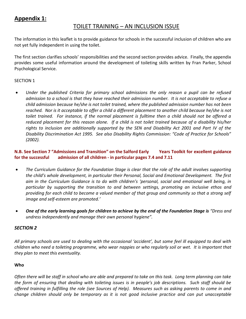## **Appendix 1:**

### TOILET TRAINING – AN INCLUSION ISSUE

The information in this leaflet is to provide guidance for schools in the successful inclusion of children who are not yet fully independent in using the toilet.

The first section clarifies schools' responsibilities and the second section provides advice. Finally, the appendix provides some useful information around the development of toileting skills written by Fran Parker, School Psychological Service.

#### SECTION 1

 *Under the published Criteria for primary school admissions the only reason a pupil can be refused admission to a school is that they have reached their admission number. It is not acceptable to refuse a child admission because he/she is not toilet trained, where the published admission number has not been reached. Nor is it acceptable to offer a child a different placement to another child because he/she is not toilet trained. For instance, if the normal placement is fulltime then a child should not be offered a reduced placement for this reason alone. If a child is not toilet trained because of a disability his/her rights to inclusion are additionally supported by the SEN and Disability Act 2001 and Part IV of the Disability Discrimination Act 1995. See also Disability Rights Commission: "Code of Practice for Schools" (2002).* 

#### **N.B. See Section 7 "Admissions and Transition" on the Salford Early Years Toolkit for excellent guidance for the successful admission of all children - in particular pages 7.4 and 7.11**

- *The Curriculum Guidance for the Foundation Stage is clear that the role of the adult involves supporting the child's whole development, in particular their Personal, Social and Emotional Development. The first aim in the Curriculum Guidance is to do with children's 'personal, social and emotional well being, in particular by supporting the transition to and between settings, promoting an inclusive ethos and providing for each child to become a valued member of that group and community so that a strong self image and self-esteem are promoted.'*
- *One of the early learning goals for children to achieve by the end of the Foundation Stage is "Dress and undress independently and manage their own personal hygiene".*

#### *SECTION 2*

*All primary schools are used to dealing with the occasional 'accident', but some feel ill equipped to deal with children who need a toileting programme, who wear nappies or who regularly soil or wet. It is important that they plan to meet this eventuality.* 

#### **Who**

*Often there will be staff in school who are able and prepared to take on this task. Long term planning can take the form of ensuring that dealing with toileting issues is in people's job descriptions. Such staff should be offered training in fulfilling the role (see Sources of Help). Measures such as asking parents to come in and change children should only be temporary as it is not good inclusive practice and can put unacceptable*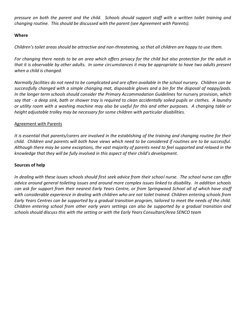*pressure on both the parent and the child. Schools should support staff with a written toilet training and changing routine. This should be discussed with the parent (see Agreement with Parents).* 

#### **Where**

*Children's toilet areas should be attractive and non-threatening, so that all children are happy to use them.*

*For changing there needs to be an area which offers privacy for the child but also protection for the adult in that it is observable by other adults. In some circumstances it may be appropriate to have two adults present when a child is changed.*

*Normally facilities do not need to be complicated and are often available in the school nursery. Children can be successfully changed with a simple changing mat, disposable gloves and a bin for the disposal of nappy/pads. In the longer term schools should consider the Primary Accommodation Guidelines* for nursery provision*, which say that - a deep sink, bath or shower tray is required to clean accidentally soiled pupils or clothes. A laundry or utility room with a washing machine may also be useful for this and other purposes. A changing table or height adjustable trolley may be necessary for some children with particular disabilities.*

#### Agreement with Parents

*It is essential that parents/carers are involved in the establishing of the training and changing routine for their child. Children and parents will both have views which need to be considered if routines are to be successful. Although there may be some exceptions, the vast majority of parents need to feel supported and relaxed in the knowledge that they will be fully involved in this aspect of their child's development.*

#### **Sources of help**

*In dealing with these issues schools should first seek advice from their school nurse. The school nurse can offer advice around general toileting issues and around more complex issues linked to disability. In addition schools can ask for support from their nearest Early Years Centre, or from Springwood School all of which have staff*  with considerable experience in dealing with children who are not toilet trained. Children entering schools from *Early Years Centres can be supported by a gradual transition program, tailored to meet the needs of the child. Children entering school from other early years settings can also be supported by a gradual transition and schools should discuss this with the setting or with the Early Years Consultant/Area SENCO team*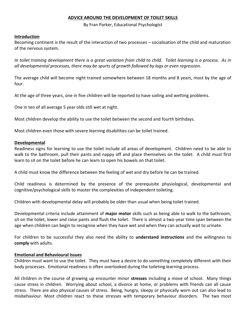#### **ADVICE AROUND THE DEVELOPMENT OF TOILET SKILLS**

By Fran Parker, Educational Psychologist

#### **Introduction**

Becoming continent is the result of the interaction of two processes – socialisation of the child and maturation of the nervous system.

*In toilet training development there is a great variation from child to child. Toilet learning is a process. As in all developmental processes, there may be spurts of growth followed by lags or even regression.*

The average child will become night trained somewhere between 18 months and 8 years, most by the age of four.

At the age of three years, one in five children will be reported to have soiling and wetting problems.

One in ten of all average 5 year olds still wet at night.

Most children develop the ability to use the toilet between the second and fourth birthdays.

Most children even those with severe learning disabilities can be toilet trained.

#### **Developmental**

Readiness signs for learning to use the toilet include all areas of development. Children need to be able to walk to the bathroom, pull their pants and nappy off and place themselves on the toilet. A child must first learn to sit on the toilet before he can learn to open his bowels on that toilet.

A child must know the difference between the feeling of wet and dry before he can be trained.

Child readiness is determined by the presence of the prerequisite physiological, developmental and cognitive/psychological skills to master the complexities of independent toileting.

Children with developmental delay will probably be older than usual when being toilet trained.

Developmental criteria include attainment of **major motor** skills such as being able to walk to the bathroom, sit on the toilet, lower and raise pants and flush the toilet. There is almost a two-year time span between the age when children can begin to recognise when they have wet and when they can actually wait to urinate.

For children to be successful they also need the ability to **understand instructions** and the willingness to **comply** with adults.

#### **Emotional and Behavioural Issues**

Children must want to use the toilet. They must have a desire to do something completely different with their body processes. Emotional readiness is often overlooked during the toileting learning process.

All children in the course of growing up encounter minor **stresses** including a move of school. Many things cause stress in children. Worrying about school, a divorce at home, or problems with friends can all cause stress. There are also physical causes of stress. Being, hungry, sleepy or physically worn out can also lead to misbehaviour. Most children react to these stresses with temporary behaviour disorders. The two most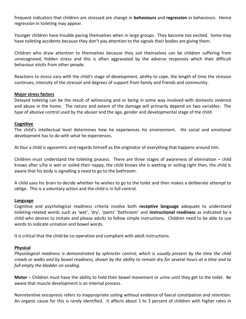frequent indicators that children are stressed are change in **behaviours** and **regression** in behaviours. Hence regression in toileting may appear.

Younger children have trouble pacing themselves when in large groups. They become too excited. Some may have toileting accidents because they don't pay attention to the signals their bodies are giving them.

Children who draw attention to themselves because they soil themselves can be children suffering from unrecognised, hidden stress and this is often aggravated by the adverse responses which their difficult behaviour elicits from other people.

Reactions to stress vary with the child's stage of development, ability to cope, the length of time the stressor continues, intensity of the stressor and degrees of support from family and friends and community.

#### **Major stress factors**

Delayed toileting can be the result of witnessing and or being in some way involved with domestic violence and abuse in the home. The nature and extent of the damage will primarily depend on two variables: The type of abusive control used by the abuser and the age, gender and developmental stage of the child.

#### **Cognitive**

The child's intellectual level determines how he experiences his environment. His social and emotional development has to do with what he experiences.

At four a child is egocentric and regards himself as the originator of everything that happens around him.

Children must understand the toileting process. There are three stages of awareness of elimination – child knows after s/he is wet or soiled their nappy, the child knows she is wetting or soiling right then, the child is aware that his body is signalling a need to go to the bathroom.

A child uses his brain to decide whether he wishes to go to the toilet and then makes a deliberate attempt to oblige. This is a voluntary action and the child is in full control.

#### **Language**

Cognitive and psychological readiness criteria involve both **receptive language** adequate to understand toileting-related words such as 'wet', 'dry', 'pants' 'bathroom' and **instructional readiness** as indicated by a child who desires to imitate and please adults to follow simple instructions. Children need to be able to use words to indicate urination and bowel words.

It is critical that the child be co-operative and compliant with adult instructions.

#### **Physical**

*Physiological readiness is demonstrated by sphincter control, which is usually present by the time the child crawls or walks and by bowel readiness, shown by the ability to remain dry for several hours at a time and to full empty the bladder on voiding.*

**Motor** – Children must have the ability to hold their bowel movement or urine until they get to the toilet. Be aware that muscle development is an internal process.

Nonretentive encopresis refers to inappropriate soiling without evidence of faecal constipation and retention. An organic cause for this is rarely identified. It affects about 1 to 3 percent of children with higher rates in